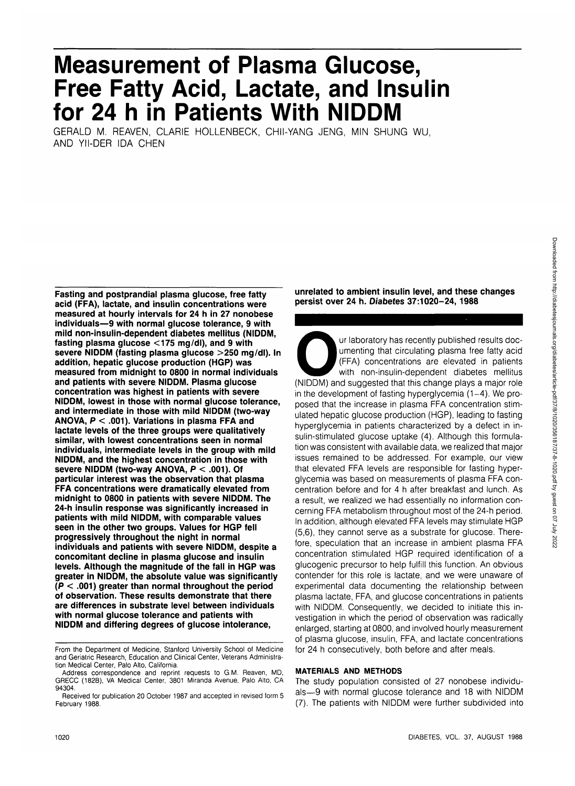# **Measurement of Plasma Glucose, Free Fatty Acid, Lactate, and Insulin for 24 h in Patients With NIDDM**

GERALD M. REAVEN, CLARIE HOLLENBECK, CHII-YANG JENG, MIN SHUNG WU, AND YII-DER IDA CHEN

**Fasting and postprandial plasma glucose, free fatty acid (FFA), lactate, and insulin concentrations were measured at hourly intervals for 24 h in 27 nonobese individuals—9 with normal glucose tolerance, 9 with mild non-insulin-dependent diabetes mellitus (NIDDM, fasting plasma glucose <175 mg/dl), and 9 with severe NIDDM (fasting plasma glucose >250 mg/dl). In addition, hepatic glucose production (HGP) was measured from midnight to 0800 in normal individuals and patients with severe NIDDM. Plasma glucose concentration was highest in patients with severe NIDDM, lowest in those with normal glucose tolerance, and intermediate in those with mild NIDDM (two-way ANOVA, P < .001). Variations in plasma FFA and lactate levels of the three groups were qualitatively similar, with lowest concentrations seen in normal individuals, intermediate levels in the group with mild NIDDM, and the highest concentration in those with severe NIDDM (two-way ANOVA, P < .001). Of particular interest was the observation that plasma FFA concentrations were dramatically elevated from midnight to 0800 in patients with severe NIDDM. The 24-h insulin response was significantly increased in patients with mild NIDDM, with comparable values seen in the other two groups. Values for HGP fell progressively throughout the night in normal individuals and patients with severe NIDDM, despite a concomitant decline in plasma glucose and insulin levels. Although the magnitude of the fall in HGP was greater in NIDDM, the absolute value was significantly (P < .001) greater than normal throughout the period of observation. These results demonstrate that there are differences in substrate level between individuals with normal glucose tolerance and patients with NIDDM and differing degrees of glucose intolerance,**

**unrelated to ambient insulin level, and these changes persist over 24 h. Diabetes 37:1020-24, 1988**

The urlaboratory has recently published results documenting that circulating plasma free fatty acid (FFA) concentrations are elevated in patients with non-insulin-dependent diabetes mellitus (NIDDM) and suggested that this umenting that circulating plasma free fatty acid (FFA) concentrations are elevated in patients with non-insulin-dependent diabetes mellitus in the development of fasting hyperglycemia  $(1-4)$ . We proposed that the increase in plasma FFA concentration stimulated hepatic glucose production (HGP), leading to fasting hyperglycemia in patients characterized by a defect in insulin-stimulated glucose uptake (4). Although this formulation was consistent with available data, we realized that major issues remained to be addressed. For example, our view that elevated FFA levels are responsible for fasting hyperglycemia was based on measurements of plasma FFA concentration before and for 4 h after breakfast and lunch. As a result, we realized we had essentially no information concerning FFA metabolism throughout most of the 24-h period. In addition, although elevated FFA levels may stimulate HGP (5,6), they cannot serve as a substrate for glucose. Therefore, speculation that an increase in ambient plasma FFA concentration stimulated HGP required identification of a glucogenic precursor to help fulfill this function. An obvious contender for this role is lactate, and we were unaware of experimental data documenting the relationship between plasma lactate, FFA, and glucose concentrations in patients with NIDDM. Consequently, we decided to initiate this investigation in which the period of observation was radically enlarged, starting at 0800, and involved hourly measurement of plasma glucose, insulin, FFA, and lactate concentrations for 24 h consecutively, both before and after meals.

## **MATERIALS AND METHODS**

The study population consisted of 27 nonobese individuals—9 with normal glucose tolerance and 18 with NIDDM (7). The patients with NIDDM were further subdivided into

From the Department of Medicine, Stanford University School of Medicine and Geriatric Research, Education and Clinical Center, Veterans Administration Medical Center, Palo Alto, California.

Address correspondence and reprint requests to G.M. Reaven, MD, GRECC (182B), VA Medical Center, 3801 Miranda Avenue, Palo Alto, CA 94304.

Received for publication 20 October 1987 and accepted in revised form 5 February 1988.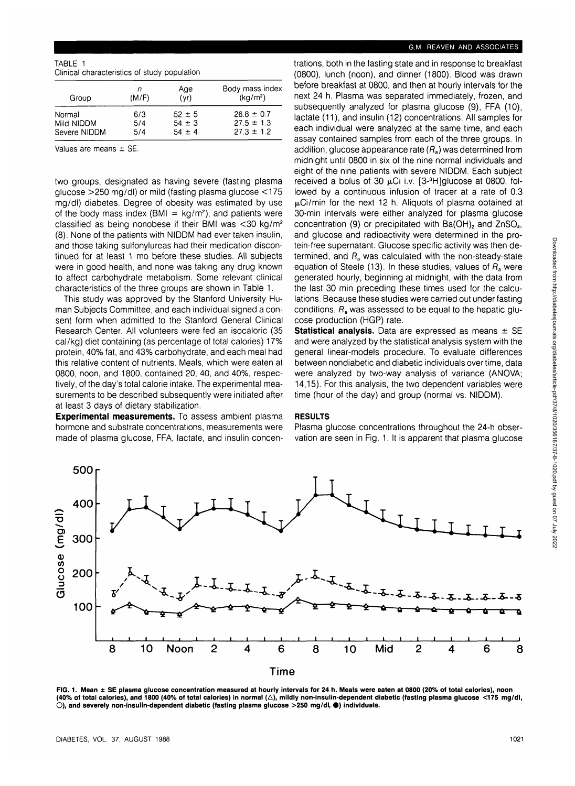| TABLE 1 |                                              |  |
|---------|----------------------------------------------|--|
|         | Clinical characteristics of study population |  |

| Group        | n     | Age        | Body mass index      |
|--------------|-------|------------|----------------------|
|              | (M/F) | (vr)       | (kq/m <sup>2</sup> ) |
| Normal       | 6/3   | $52 \pm 5$ | $26.8 \pm 0.7$       |
| Mild NIDDM   | 5/4   | $54 \pm 3$ | $27.5 \pm 1.3$       |
| Severe NIDDM | 5/4   | $54 \pm 4$ | $27.3 \pm 1.2$       |

Values are means ± SE.

two groups, designated as having severe (fasting plasma glucose >250 mg/dl) or mild (fasting plasma glucose <175 mg/dl) diabetes. Degree of obesity was estimated by use of the body mass index (BMI =  $kg/m<sup>2</sup>$ ), and patients were classified as being nonobese if their BMI was <30 kg/m<sup>2</sup> (8). None of the patients with NIDDM had ever taken insulin, and those taking sulfonylureas had their medication discontinued for at least 1 mo before these studies. All subjects were in good health, and none was taking any drug known to affect carbohydrate metabolism. Some relevant clinical characteristics of the three groups are shown in Table 1.

This study was approved by the Stanford University Human Subjects Committee, and each individual signed a consent form when admitted to the Stanford General Clinical Research Center. All volunteers were fed an isocaloric (35 cal/kg) diet containing (as percentage of total calories) 17% protein, 40% fat, and 43% carbohydrate, and each meal had this relative content of nutrients. Meals, which were eaten at 0800, noon, and 1800, contained 20, 40, and 40%, respectively, of the day's total calorie intake. The experimental measurements to be described subsequently were initiated after at least 3 days of dietary stabilization.

**Experimental measurements.** To assess ambient plasma hormone and substrate concentrations, measurements were made of plasma glucose, FFA, lactate, and insulin concen-

#### **G.M. REAVEN AND ASSOCIATES**

trations, both in the fasting state and in response to breakfast (0800), lunch (noon), and dinner (1800). Blood was drawn before breakfast at 0800, and then at hourly intervals for the next 24 h. Plasma was separated immediately, frozen, and subsequently analyzed for plasma glucose (9), FFA (10), lactate (11), and insulin (12) concentrations. All samples for each individual were analyzed at the same time, and each assay contained samples from each of the three groups. In addition, glucose appearance rate  $(R_a)$  was determined from midnight until 0800 in six of the nine normal individuals and eight of the nine patients with severe NIDDM. Each subject received a bolus of 30 µCi i.v. [3-3H]glucose at 0800, followed by a continuous infusion of tracer at a rate of 0.3  $\mu$ Ci/min for the next 12 h. Aliquots of plasma obtained at 30-min intervals were either analyzed for plasma glucose concentration (9) or precipitated with  $Ba(OH)_2$  and  $ZnSO_4$ , and glucose and radioactivity were determined in the protein-free supernatant. Glucose specific activity was then determined, and  $R<sub>a</sub>$  was calculated with the non-steady-state equation of Steele (13). In these studies, values of  $R<sub>a</sub>$  were generated hourly, beginning at midnight, with the data from the last 30 min preceding these times used for the calculations. Because these studies were carried out under fasting conditions,  $R_a$  was assessed to be equal to the hepatic glucose production (HGP) rate.

**Statistical analysis.** Data are expressed as means  $\pm$  SE and were analyzed by the statistical analysis system with the general linear-models procedure. To evaluate differences between nondiabetic and diabetic individuals over time, data were analyzed by two-way analysis of variance (ANOVA; 14,15). For this analysis, the two dependent variables were time (hour of the day) and group (normal vs. NIDDM).

## **RESULTS**

Plasma glucose concentrations throughout the 24-h observation are seen in Fig. 1. It is apparent that plasma glucose



**FIG. 1. Mean ± SE plasma glucose concentration measured at hourly intervals for 24 h. Meals were eaten at 0800 (20% of total calories), noon (40% of total calories), and 1800 (40% of total calories) in normal (A), mildly non-insulin-dependent diabetic (fasting plasma glucose <175 mg/dl, O), and severely non-insulin-dependent diabetic (fasting plasma glucose >250 mg/dl, • ) individuals.**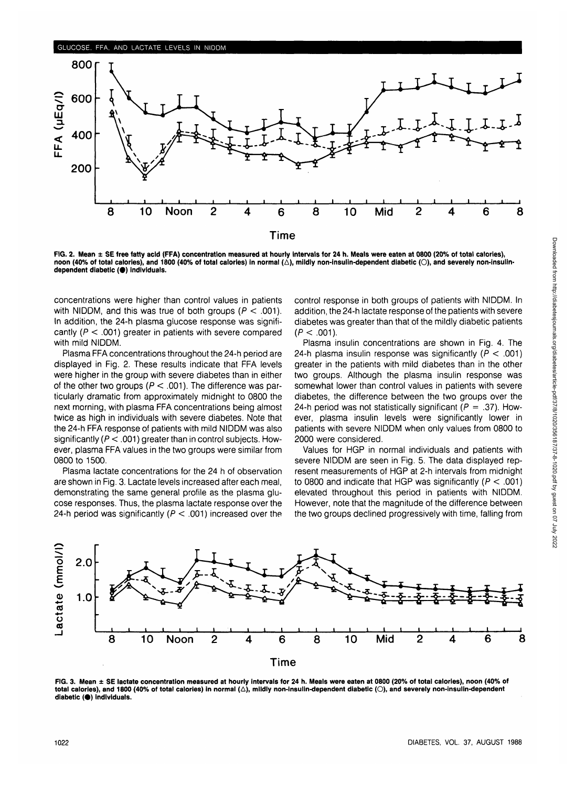#### **GLUCOSE. FFA. AND LACTATE LEVELS IN NIDDM**



**FIG. 2. Mean ± SE free fatty acid (FFA) concentration measured at hourly intervals for 24 h. Meals were eaten at 0800 (20% of total calories),** noon (40% of total calories), and 1800 (40% of total calories) in normal ( $\triangle$ ), mildly non-insulin-dependent diabetic ( $\bigcirc$ ), and severely non-insulin**dependent diabetic (•) individuals.**

concentrations were higher than control values in patients with NIDDM, and this was true of both groups ( $P < .001$ ). In addition, the 24-h plasma glucose response was significantly ( $P < .001$ ) greater in patients with severe compared with mild NIDDM.

Plasma FFA concentrations throughout the 24-h period are displayed in Fig. 2. These results indicate that FFA levels were higher in the group with severe diabetes than in either of the other two groups ( $P < .001$ ). The difference was particularly dramatic from approximately midnight to 0800 the next morning, with plasma FFA concentrations being almost twice as high in individuals with severe diabetes. Note that the 24-h FFA response of patients with mild NIDDM was also significantly ( $P < .001$ ) greater than in control subjects. However, plasma FFA values in the two groups were similar from 0800 to 1500.

Plasma lactate concentrations for the 24 h of observation are shown in Fig. 3. Lactate levels increased after each meal, demonstrating the same general profile as the plasma glucose responses. Thus, the plasma lactate response over the 24-h period was significantly ( $P < .001$ ) increased over the

control response in both groups of patients with NIDDM. In addition, the 24-h lactate response of the patients with severe diabetes was greater than that of the mildly diabetic patients  $(P < .001)$ .

Plasma insulin concentrations are shown in Fig. 4. The 24-h plasma insulin response was significantly ( $P < .001$ ) greater in the patients with mild diabetes than in the other two groups. Although the plasma insulin response was somewhat lower than control values in patients with severe diabetes, the difference between the two groups over the 24-h period was not statistically significant ( $P = .37$ ). However, plasma insulin levels were significantly lower in patients with severe NIDDM when only values from 0800 to 2000 were considered.

Values for HGP in normal individuals and patients with severe NIDDM are seen in Fig. 5. The data displayed represent measurements of HGP at 2-h intervals from midnight to 0800 and indicate that HGP was significantly ( $P < .001$ ) elevated throughout this period in patients with NIDDM. However, note that the magnitude of the difference between the two groups declined progressively with time, falling from



**FIG. 3. Mean ± SE lactate concentration measured at hourly intervals for 24 h. Meals were eaten at 0800 (20% of total calories), noon (40% of** total calories), and 1800 (40% of total calories) in normal ( $\triangle$ ), mildly non-insulin-dependent diabetic ( $\bigcirc$ ), and severely non-insulin-dependent **diabetic (•) individuals.**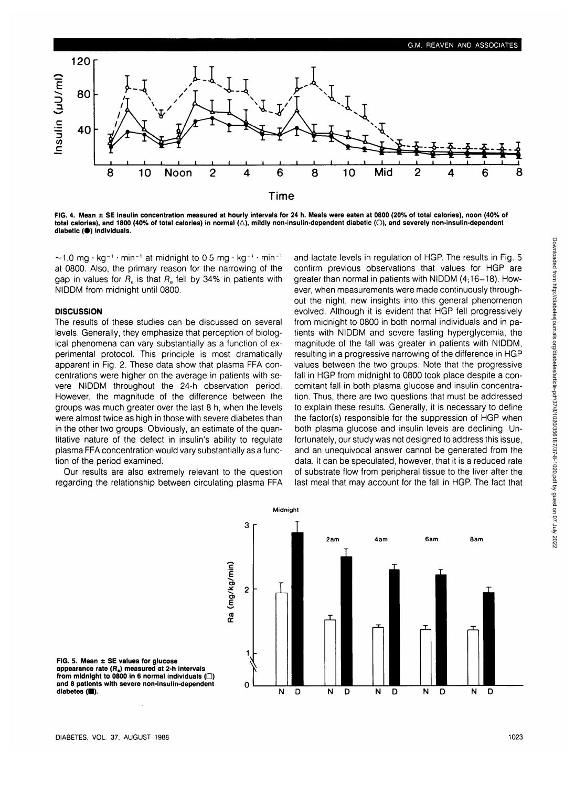

**FIG. 4. Mean ± SE insulin concentration measured at hourly intervals for 24 h. Meals were eaten at 0800 (20% of total calories), noon (40% of** total calories), and 1800 (40% of total calories) in normal (△), mildly non-insulin-dependent diabetic (○), and severely non-insulin-dependent diabetic (<sup>•</sup>) individuals

 $\sim$ 1.0 mg · kg<sup>-1</sup> · min<sup>-1</sup> at midnight to 0.5 mg · kg<sup>-1</sup> · min<sup>-1</sup> at 0800. Also, the primary reason for the narrowing of the gap in values for  $R_a$  is that  $R_a$  fell by 34% in patients with NIDDM from midnight until 0800.

## **DISCUSSION**

The results of these studies can be discussed on several levels. Generally, they emphasize that perception of biological phenomena can vary substantially as a function of experimental protocol. This principle is most dramatically apparent in Fig. 2. These data show that plasma FFA concentrations were higher on the average in patients with severe NIDDM throughout the 24-h observation period. However, the magnitude of the difference between the groups was much greater over the last 8 h, when the levels were almost twice as high in those with severe diabetes than in the other two groups. Obviously, an estimate of the quantitative nature of the defect in insulin's ability to regulate plasma FFA concentration would vary substantially as a function of the period examined.

Our results are also extremely relevant to the question regarding the relationship between circulating plasma FFA

and lactate levels in regulation of HGP. The results in Fig. 5 confirm previous observations that values for HGP are greater than normal in patients with NIDDM (4,16—18). However, when measurements were made continuously throughout the night, new insights into this general phenomenon evolved. Although it is evident that HGP fell progressively from midnight to 0800 in both normal individuals and in patients with NIDDM and severe fasting hyperglycemia, the magnitude of the fall was greater in patients with NIDDM, resulting in a progressive narrowing of the difference in HGP values between the two groups. Note that the progressive fall in HGP from midnight to 0800 took place despite a concomitant fall in both plasma glucose and insulin concentration. Thus, there are two questions that must be addressed to explain these results. Generally, it is necessary to define the factor(s) responsible for the suppression of HGP when both plasma glucose and insulin levels are declining. Unfortunately, our study was not designed to address this issue, and an unequivocal answer cannot be generated from the data. It can be speculated, however, that it is a reduced rate of substrate flow from peripheral tissue to the liver after the last meal that may account for the fall in HGP. The fact that



**FIG. 5. Mean ± SE values for glucose appearance rate (Ra) measured at 2-h intervals** from midnight to 0800 in 6 normal individuals ( $\Box$ ) **and 8 patients with severe non-insulin-dependent** diabetes ( $\blacksquare$ ).